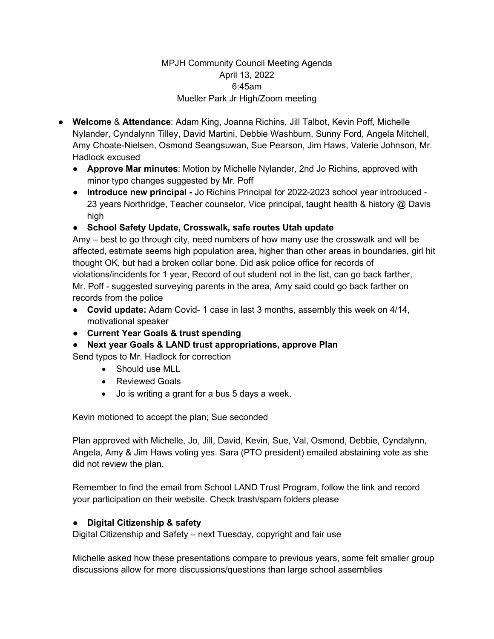## MPJH Community Council Meeting Agenda April 13, 2022 6:45am Mueller Park Jr High/Zoom meeting

- **Welcome** & **Attendance**: Adam King, Joanna Richins, Jill Talbot, Kevin Poff, Michelle Nylander, Cyndalynn Tilley, David Martini, Debbie Washburn, Sunny Ford, Angela Mitchell, Amy Choate-Nielsen, Osmond Seangsuwan, Sue Pearson, Jim Haws, Valerie Johnson, Mr. Hadlock excused
	- **Approve Mar minutes**: Motion by Michelle Nylander, 2nd Jo Richins, approved with minor typo changes suggested by Mr. Poff
	- **Introduce new principal -** Jo Richins Principal for 2022-2023 school year introduced 23 years Northridge, Teacher counselor, Vice principal, taught health & history @ Davis high
	- **School Safety Update, Crosswalk, safe routes Utah update**

Amy – best to go through city, need numbers of how many use the crosswalk and will be affected, estimate seems high population area, higher than other areas in boundaries, girl hit thought OK, but had a broken collar bone. Did ask police office for records of violations/incidents for 1 year, Record of out student not in the list, can go back farther, Mr. Poff - suggested surveying parents in the area, Amy said could go back farther on records from the police

- **Covid update:** Adam Covid- 1 case in last 3 months, assembly this week on 4/14, motivational speaker
- **Current Year Goals & trust spending**
- **Next year Goals & LAND trust appropriations, approve Plan**

Send typos to Mr. Hadlock for correction

- Should use MLL
- Reviewed Goals
- Jo is writing a grant for a bus 5 days a week,

Kevin motioned to accept the plan; Sue seconded

Plan approved with Michelle, Jo, Jill, David, Kevin, Sue, Val, Osmond, Debbie, Cyndalynn, Angela, Amy & Jim Haws voting yes. Sara (PTO president) emailed abstaining vote as she did not review the plan.

Remember to find the email from School LAND Trust Program, follow the link and record your participation on their website. Check trash/spam folders please

## ● **Digital Citizenship & safety**

Digital Citizenship and Safety – next Tuesday, copyright and fair use

Michelle asked how these presentations compare to previous years, some felt smaller group discussions allow for more discussions/questions than large school assemblies